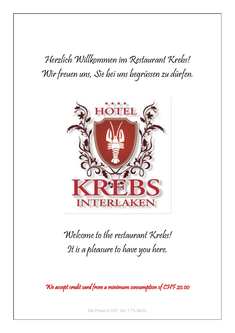Herzlich Willkommen im Restaurant Krebs! Wir freuen uns, Sie bei uns begrüssen zu dürfen.



Welcome to the restaurant Krebs! It is a pleasure to have you here.

We accept credit card from a minimum consumption of CHF 20.00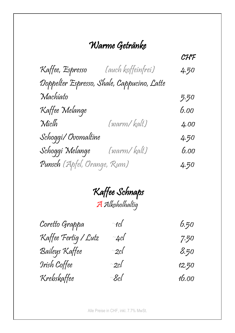### Warme Getränke

CHF CHF Kaffee, Espresso (auch koffeinfrei) 4.50 Doppelter Espresso, Shale, Cappucino, Latte Machiato 5.50 Kaffee Melange 6.00 Miclh (warm/ kalt) 4.00 Schoggi/ Ovomaltine 4.50 Schoggi Melange (warm/ kalt) 6.00 Punsch (Apfel, Orange, Rum) 4.50

> Kaffee Schnaps AAlkoholhaltig

| Coretto Grappa       | $\sim$ tcl $\sqrt{\frac{1}{2}}$                                                                                                                                                                                                                                                                                                                                                                                                                                                                | 6,50  |
|----------------------|------------------------------------------------------------------------------------------------------------------------------------------------------------------------------------------------------------------------------------------------------------------------------------------------------------------------------------------------------------------------------------------------------------------------------------------------------------------------------------------------|-------|
| Kaffee Fertig / Lutz | $~\sim$ 40l                                                                                                                                                                                                                                                                                                                                                                                                                                                                                    | 7.50  |
| Baileys Kaffee       | $~\sim$ 2cl                                                                                                                                                                                                                                                                                                                                                                                                                                                                                    | 8,50  |
| Irish Coffee         | $\sim$ 2cl                                                                                                                                                                                                                                                                                                                                                                                                                                                                                     | 12,50 |
| Krebskaffee          | $~\mathscr{E}\hspace{-1pt}c\mathscr{E}\hspace{-1pt}\mathscr{E}\hspace{-1pt}\mathscr{E}\hspace{-1pt}\mathscr{E}\hspace{-1pt}\mathscr{E}\hspace{-1pt}\mathscr{E}\hspace{-1pt}\mathscr{E}\hspace{-1pt}\mathscr{E}\hspace{-1pt}\mathscr{E}\hspace{-1pt}\mathscr{E}\hspace{-1pt}\mathscr{E}\hspace{-1pt}\mathscr{E}\hspace{-1pt}\mathscr{E}\hspace{-1pt}\mathscr{E}\hspace{-1pt}\mathscr{E}\hspace{-1pt}\mathscr{E}\hspace{-1pt}\mathscr{E}\hspace{-1pt}\mathscr{E}\hspace{-1pt}\mathscr{E}\hspace$ | 16,00 |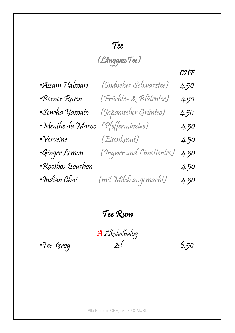### Tee

(LänggassTee)

#### **CHF**

| •Assam Halmari    | (Indischer Schwarztee)   | 4.50 |
|-------------------|--------------------------|------|
| •Berner Rosen     | (Früchte- & Blütentee)   | 4.50 |
| •Sencha Yamato    | (Japanischer Grüntee)    | 4.50 |
| • Menthe du Maroc | (Pfefferminztee)         | 4.50 |
| • Verveine        | (Eisenkraut)             | 4.50 |
| ·Ginger Lemon     | (Ingwer und Limettentee) | 4.50 |
| •Rooibos Bourbon  |                          | 4.50 |
| •Indian Chai      | (mit Milch angemacht)    | 4.50 |

Tee Rum

AAlkoholhaltig  $\cdot$ Tee-Grog -2cl 6.50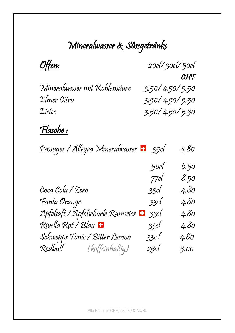# Mineralwasser & Süssgetränke

| <u>Offen:</u>                                     |                | 20cl/30cl/50cl |
|---------------------------------------------------|----------------|----------------|
|                                                   |                | CHF            |
| Mineralwasser mit Kohlensäure                     | 3.50/4.50/5.50 |                |
| Elmer Citro                                       | 3.50/4.50/5.50 |                |
| Eistee                                            | 3.50/4.50/5.50 |                |
| <u>Flasche :</u>                                  |                |                |
| Passuger / Allegra Mineralwasser • 35cl           |                | 4.80           |
|                                                   | 50c            | 6.50           |
|                                                   | 77cl           | 8.50           |
| Coca Cola / Zero                                  | 33cl           | 4.80           |
| Fanta Orange                                      | 33cl           | 4.80           |
| Apfelsaft / Apfelschorle Ramseier <mark>••</mark> | 33cl           | 4,80           |
| Rivella Rot / Blau <mark>+</mark>                 | 33cl           | 4,80           |
| Schwepps Tonic / Bitter Lemon                     | 33c l          | 4,80           |
| Redbull (koffeinhaltig)                           | 25cl           | 5.00           |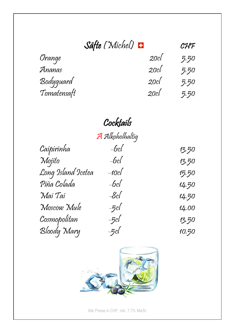| Säfte (Michel) |      | CHF  |
|----------------|------|------|
| Orange         | 20c  | 5.50 |
| Ananas         | 20c  | 5.50 |
| Bodyguard      | 20c  | 5.50 |
| Tomatensaft    | 20c/ | 5.50 |

# Cocktails

|                    | A Alkoholhaltig |       |
|--------------------|-----------------|-------|
| Caipirinha         | $-6c$           | 13.50 |
| Mojito             | $-6c$           | 13.50 |
| Long Island Icetea | $-10c$          | 15.50 |
| Piña Colada        | $-6c$           | 14.50 |
| Mai Tai            | $-8c$ l         | 14.50 |
| Moscow Mule        | $-5c$           | 14.00 |
| Cosmopolitan       | $-5c$           | 13.50 |
| Bloody Mary        | $-5c$           | 10.50 |

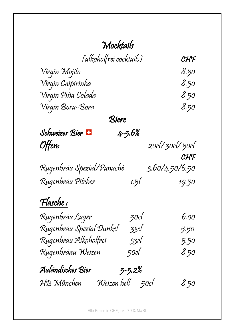## Mocktails

| (alkoholfrei cocktails) | $\mathcal{C} \mathcal{H} \mathcal{F}$ |
|-------------------------|---------------------------------------|
| Virqin Mojito           | 8.50                                  |
| Virgin Caipirinha       | 8.50                                  |
| Virgin Piña Colada      | 8.50                                  |
| Virgin Bora-Bora        | 8.50                                  |

Biere

| Schweizer Bier <b>H</b>   | $4 - 5.6%$ |                |
|---------------------------|------------|----------------|
| <u>Offen:</u>             |            | 20cl/30cl/50cl |
|                           |            | CHF            |
| Rugenbräu Spezial/Panaché |            | 3.60/4.50/6.50 |

| Rugenbräu Pitcher | 1.51 | 19.50 |
|-------------------|------|-------|

### Flasche :

| Rugenbräu Lager           | 50c        | 6,00 |
|---------------------------|------------|------|
| Rugenbräu Spezial Dunkel  | 33cl       | 5.50 |
| Rugenbräu Alkoholfrei     | 33cl       | 5.50 |
| Rugenbräau Weizen         | 50cl       | 8,50 |
| Auländisches Bier         | $5 - 5.2%$ |      |
| HB München<br>Weizen hell | 50cl       | 8.50 |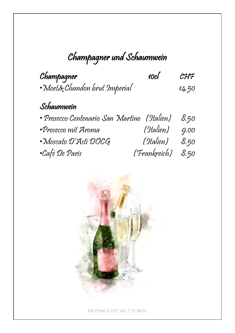# Champagner und Schaumwein

| Champagner                    | 10cl | $\mathcal{CHF}$ |
|-------------------------------|------|-----------------|
| · Moet& Chandon brut Imperial |      | 14.50           |

### Schaumwein

| • Prosecco Centenario San Martino (Italien) 8.50 |                   |      |
|--------------------------------------------------|-------------------|------|
| •Prosecco mit Aroma                              | (Italien)         | 9.00 |
| • Moscato D'Asti DOCG                            | (Italien) 8.50    |      |
| •Café De Paris                                   | (Frankreich) 8.50 |      |

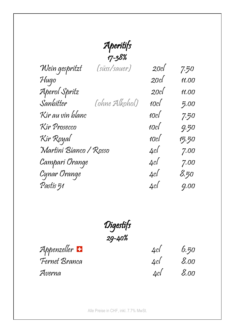# Aperitifs

|                        | 17-38%         |      |       |
|------------------------|----------------|------|-------|
| Wein gespritzt         | (süss/sauer)   | 20c  | 7.50  |
| Hugo                   |                | 20c  | 11.00 |
| Aperol Spritz          |                | 20c  | 11.00 |
| Sanbitter              | (ohne Alkohol) | 10c  | 5.00  |
| Kir au vin blanc       |                | 10cl | 7.50  |
| Kir Prosecco           |                | 10cl | 9.50  |
| Kir Royal              |                | 10cl | 15.50 |
| Martini Bianco / Rosso |                | 4cl  | 7.00  |
| Campari Orange         |                | 4cl  | 7.00  |
| Cynar Orange           |                | 4cl  | 8,50  |
| Pastis 51              |                | 4cl  | 9.00  |
|                        |                |      |       |

Digestifs 29-40%

Averna 4cl 8.00

Appenzeller 4cl 6.50 Fernet Branca 4cl 8.00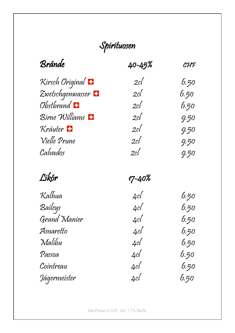# Spirituosen

| Brände                          | 40-45%         | CHF  |
|---------------------------------|----------------|------|
| Kirsch Original <mark>+</mark>  | 2c             | 6,50 |
| Zwetschgenwasser <mark>+</mark> | 2c             | 6.50 |
| Obstbrand <b>H</b>              | 2cl $\sqrt{2}$ | 6,50 |
| Birne Williams                  | 2c             | 9.50 |
| Kräuter <b>E</b>                | 2c             | 9.50 |
| Vielle Prune                    | 2c             | 9.50 |
| Calvados                        | 2cl $\sqrt{2}$ | 9.50 |
|                                 |                |      |
| Likör                           | 17-40%         |      |
| Kalhua                          | 4cl            | 6,50 |
| Baileys                         | 4cl            | 6.50 |
| Grand Manier                    | 4cl            | 6,50 |
| Amaretto                        | 4cl            | 6,50 |
| Malibu                          | 4cl            | 6,50 |
| Passoa                          | 4cl            | 6,50 |
| Cointreau                       | 4cl            | 6,50 |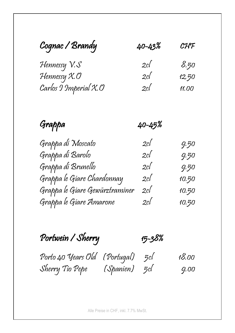| Cognac / Brandy            | 40-43% | CHF   |  |
|----------------------------|--------|-------|--|
| Hennessy V.S               | 2c/    | 8,50  |  |
| Hennessy X.O               | 2c/    | 12,50 |  |
| $Carlos 9$ Imperial $X$ .0 | 2c     | 11,00 |  |

Grappa 40-45%

| Grappa di Moscato              | 2c/ | 9.50  |
|--------------------------------|-----|-------|
| Grappa di Barolo               | 2c/ | 9.50  |
| Grappa di Brunello             | 2c/ | 9.50  |
| Grappa le Giare Chardonnay     | 2c/ | 10.50 |
| Grappa le Giare Gewürztraminer | 2c/ | 10.50 |
| Grappa le Giare Amarone        | 2c/ | 10.50 |

Portwein / Sherry 15-38%

Porto 40 Years Old (Portugal) 5cl 18.00 Sherry Tio Pepe (Spanien) 5cl 9.00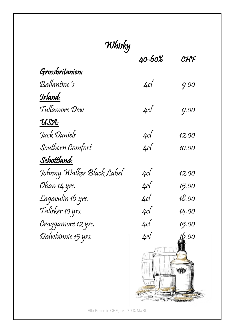| Whisky                    |        |       |
|---------------------------|--------|-------|
|                           | 40-60% | CHF   |
| Grossbritanien:           |        |       |
| Ballantine's              | 4cl    | 9,00  |
| Irland:                   |        |       |
| Tullamore Dew             | 4cl    | 9.00  |
| USA:                      |        |       |
| Jack Daniels              | 4cl    | 12.00 |
| Southern Comfort          | 4c     | 10.00 |
| Schottland:               |        |       |
| Johnny Walker Black Label | 4c     | 12.00 |
| Oban 14 yrs.              | 4cl    | 15.00 |
| Lagavulin 16 yrs.         | 4c     | 18.00 |
| Talisker 10 yrs.          | 4cl    | 14.00 |
| Craggamore 12 yrs.        | 4c     | 15.00 |
| Dalwhinnie 15 yrs.        | 4cl    | 16.00 |
|                           |        |       |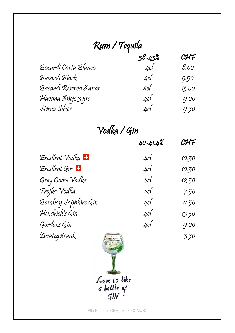| Rum / Tequila          |            |       |
|------------------------|------------|-------|
|                        | $38 - 43%$ | CHF   |
| Bacardi Carta Blanca   | 4cl        | 8.00  |
| Bacardi Black          | 4cl        | 9.50  |
| Bacardí Reserva 8 anos | 4c         | 13.00 |
| Havana Añejo 3 yrs.    | 4c/        | 9.00  |
| Sierra Silver          | 4cl        | 9.50  |

### Vodka / Gin

|                                | 40-41.4% | CHF   |
|--------------------------------|----------|-------|
| Excellent Vodka <mark>+</mark> | 4cl      | 10.50 |
| Excellent Gin                  | 4cl      | 10.50 |
| Grey Goose Vodka               | 4cl      | 12,50 |
| Trojka Vodka                   | 4cl      | 7.50  |
| Bombay Sapphire Gin            | 4cl      | 11.50 |
| Hendrick's Gin                 | 4cl      | 13.50 |
| Gordons Gin                    | 4cl      | 9.00  |
| Zusatzgetränk                  |          | 3.50  |
|                                |          |       |

*Alle Cove is like*<br>*Generalise in CHF, inkl. 7.7% Mwst.***<br>Alle Preise in CHF, inkl. 7.7% Mwst.** 

 $\perp$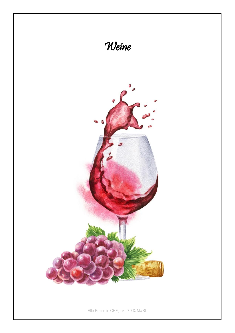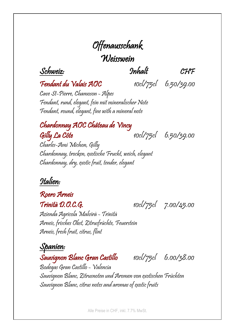## Offenausschank **Weisswein**

Schweiz: Inhalt CHF

Fendant du Valais AOC 10cl/75cl 6.50/39.00

Cave St-Pierre, Chamoson - Alpes Fendant, rund, elegant, fein mit mineralischer Note Fendant, round, elegant, fine with a mineral note

### Chardonnay AOC Château de Vincy  $Gilh$   $La$  Côte  $10c$ /75cl  $6.50/39.00$

Charles-Ami Michon, Gilly Chardonnay, trocken, exotische Frucht, weich, elegant Chardonnay, dry, exotic fruit, tender, elegant

#### Italien:

#### Roero Arneis

Trinità D.O.C.G. 10cl/75cl 7.00/45.00

Azienda Agricola Malvirà - Trinità Arneis, frisches Obst, Zitrusfrüchte, Feuerstein Arneis, fresh fruit, citrus, flint

#### Spanien:

Sauvignon Blanc Gran Castillo 10cl/75cl 6.00/38.00

Bodegas Gran Castillo - Valencia Sauvignon Blanc, Zitrusnoten und Aromen von exotischen Früchten Sauvignon Blanc, citrus notes and aromas of exotic fruits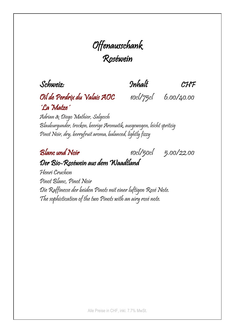### Offenausschank Roséwein

Schweiz: Inhalt CHF

### Oil de Perdrix du Valais AOC 10cl/75cl 6.00/40.00 ´La Matze´

Adrian & Diego Mathier, Salgesch Blauburgunder, trocken, beerige Aromatik, ausgewogen, leicht spritzig Pinot Noir, dry, berryfruit aroma, balanced, lightly fizzy

Blanc und Noir 10cl/50cl 5.00/22.00 Der Bio-Roséwein aus dem Waadtland

Henri Cruchon Pinot Blanc, Pinot Noir Die Raffinesse der beiden Pinots mit einer luftigen Rosé Note. The sophistication of the two Pinots with an airy rosé note.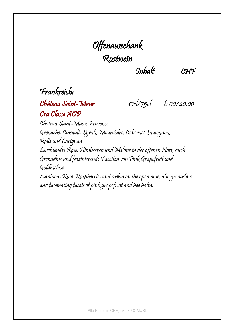# Offenausschank Roséwein

Inhalt CHF

### Frankreich:

#### Château Saint-Maur 10cl/75cl 6.00/40.00 Cru Classe AOP

Château Saint-Maur, Provence Grenache, Cinsault, Syrah, Mourvèdre, Cabernet Sauvignon, Rolle und Carignan Leuchtendes Rose. Himbeeren und Melone in der offenen Nase, auch Grenadine und faszinierende Facetten von Pink Grapefruit und Goldmelisse. Luminous Rose. Raspberries and melon on the open nose, also grenadine

and fascinating facets of pink grapefruit and bee balm.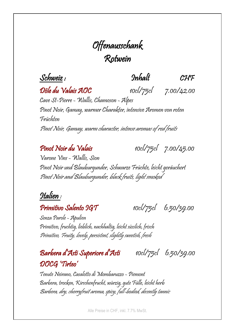### Offenausschank Rotwein

Schweiz : Inhalt CHF

Dôle du Valais AOC 10cl/75cl 7.00/42.00

Cave St-Pierre - Wallis, Chamoson - Alpes Pinot Noir, Gamay, warmer Charakter, intensive Aromen von roten Früchten Pinot Noir, Gamay, warm character, intense aromas of red fruits

Pinot Noir du Valais 10cl/75cl 7.00/45.00

Varone Vins - Wallis, Sion Pinot Noir und Blauburgunder, Schwarze Früchte, leicht geräuchert Pinot Noir and Blauburgunder, black fruits, light smoked

#### Italien :

**Primitivo Salento 9GT** 10cl/75cl 6.50/39.00

Senza Parole - Apulien Primitivo, fruchtig, lieblich, nachhaltig, leicht süsslich, frisch Primitivo, Fruity, lovely, persistent, slightly sweetish, fresh

#### Barbera d'Asti Superiore d'Asti 10cl/75cl 6.50/39.00 DOCG 'Tirteo'

Tenute Neirano, Casalotto di Mombaruzzo - Piemont Barbera, trocken, Kirschenfrucht, würzig, gute Fülle, leicht herb Barbera, dry, cherryfruit aroma, spicy, full-bodied, decently tannic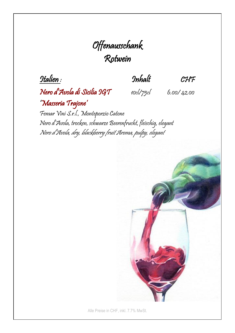### Offenausschank Rotwein

Italien : Inhalt CHF

Nero d'Avola di Sicilia IGT 10cl/75cl 6.00/ 42.00 'Masseria Trajone'

Femar Vini S.r.l., Monteporzio Catone Nero d'Avola, trocken, schwarze Beerenfrucht, fleischig, elegant Nero d'Avola, dry, blackberry fruit Aroma, pulpy, elegant

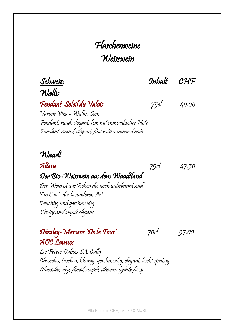### Flaschenweine **Weisswein**

Schweiz: Inhalt CHF

Wallis Fendant Soleil du Valais 75cl 40.00

Varone Vins - Wallis, Sion Fendant, rund, elegant, fein mit mineralischer Note Fendant, round, elegant, fine with a mineral note

Waadt

Altesse  $75c$ l 47.50 Der Bio-Weisswein aus dem Waadtland

Der Wein ist aus Reben die noch unbekannt sind. Ein Cuvée der besonderen Art Fruchtig und geschmeidig Fruity and souple elegant

Dézaley-Marsens 'De la Tour' 70cl 57.00 AOC Lavaux

Les Frères Dubois SA, Cully Chasselas, trocken, blumig, geschmeidig, elegant, leicht spritzig Chasselas, dry, floral, souple, elegant, lightly fizzy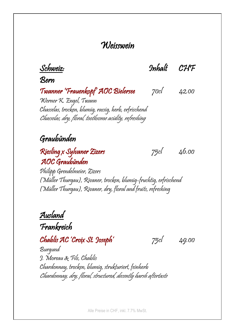#### **Weisswein**

Schweiz: Inhalt CHF

Bern

#### Twanner 'Frauenkopf' AOC Bielersee 70cl 42.00

Werner K. Engel, Twann Chasselas, trocken, blumig, rassig, herb, erfrischend Chasselas, dry, floral, toothsome acidity, refreshing

#### Graubünden

#### Riesling x Sylvaner Zizers 75cl 46.00 AOC Graubünden

Philipp Grendelmeier, Zizers (Müller Thurgau), Rivaner, trocken, blumig-fruchtig, erfrischend (Müller Thurgau), Rivaner, dry, floral and fruits, refreshing

Ausland

Frankreich

 $Chablis AC'Croix St. Joseph'$  75cl 49.00

Burgund J. Moreau & Fils, Chablis Chardonnay, trocken, blumig, strukturiert, feinherb Chardonnay, dry, floral, structured, decently harsh aftertaste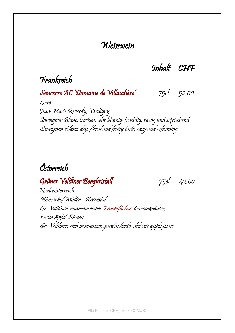#### **Weisswein**

Inhalt CHF

#### Frankreich

Sancerre AC 'Domaine de Villaudière' 75cl 52.00

Loire

Jean-Marie Reverdy, Verdigny Sauvignon Blanc, trocken, sehr blumig-fruchtig, rassig und erfrischend Sauvignon Blanc, dry, floral and fruity taste, racy and refreshing

#### Österreich

Grüner Veltliner Bergkristall 75cl 42.00

Niederösterreich Winzerhof Müller - Kremstal Gr. Veltliner, nuancenreicher Fruchtfächer, Gartenkräuter, zarter Apfel-Birnen Gr. Veltliner, rich in nuances, garden herbs, delicate apple pears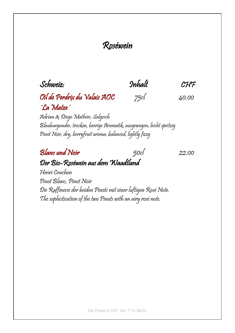#### Roséwein

Schweiz: Inhalt CHF

### Oil de Perdrix du Valais AOC 75cl 40.00 ´La Matze´

Adrian & Diego Mathier, Salgesch Blauburgunder, trocken, beerige Aromatik, ausgewogen, leicht spritzig Pinot Noir, dry, berryfruit aroma, balanced, lightly fizzy

#### $\n **B**$   $\boxed{\text{B}$   $\boxed{\text{B}$   $\boxed{\text{B}$   $\boxed{\text{B}$   $\boxed{\text{B}$   $\boxed{\text{A} \times \text{B}$   $\boxed{\text{A} \times \text{B}$   $\boxed{\text{A} \times \text{B}$   $\boxed{\text{A} \times \text{C} \times \text{C}$ Der Bio-Roséwein aus dem Waadtland

Henri Cruchon Pinot Blanc, Pinot Noir Die Raffinesse der beiden Pinots mit einer luftigen Rosé Note. The sophistication of the two Pinots with an airy rosé note.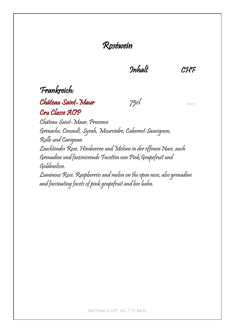#### Roséwein

Inhalt CHF

#### Frankreich:

#### Château Saint-Maur 75cl … Cru Classe AOP

Château Saint-Maur, Provence Grenache, Cinsault, Syrah, Mourvèdre, Cabernet Sauvignon, Rolle und Carignan Leuchtendes Rose. Himbeeren und Melone in der offenen Nase, auch Grenadine und faszinierende Facetten von Pink Grapefruit und Goldmelisse. Luminous Rose. Raspberries and melon on the open nose, also grenadine and fascinating facets of pink grapefruit and bee balm.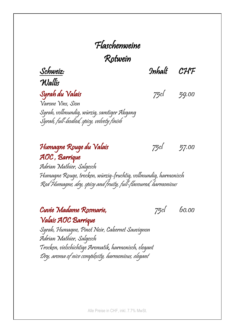# Flaschenweine

Rotwein

Wallis

Schweiz: Inhalt CHF

Syrah du Valais 75cl 59.00 Varone Vins, Sion Syrah, vollmundig, würzig, samtiger Abgang Syrah, full-bodied, spicy, velvety finish

#### Humagne Rouge du Valais 75cl 57.00 AOC, Barrique

Adrian Mathier, Salgesch Humagne Rouge, trocken, würzig-fruchtig, vollmundig, harmonisch Red Humagne, dry, spicy and fruity, full-flavoured, harmonious

Cuvée Madame Rosmarie, 75cl 60.00 Valais AOC Barrique

Syrah, Humagne, Pinot Noir, Cabernet Sauvignon Adrian Mathier, Salgesch Trocken, vielschichtige Aromatik, harmonisch, elegant Dry, aroma of nice complexity, harmonious, elegant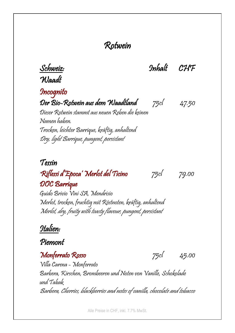Schweiz: Inhalt CHF Waadt **Incognito** Der Bio-Rotwein aus dem Waadtland 75cl 47.50 Dieser Rotwein stammt aus neuen Reben die keinen Namen haben. Trocken, leichter Barrique, kräftig, anhaltend Dry, light Barrique, pungent, persistant Tessin 'Riflessi d'Epoca' Merlot del Ticino 75cl 79.00 DOC Barrique Guido Brivio Vini SA, Mendrisio Merlot, trocken, fruchtig mit Röstnoten, kräftig, anhaltend Merlot, dry, fruity with toasty flavour, pungent, persistant Italien: Piemont Monferrato Rosso 75cl 45.00 Villa Carena - Monferrato Barbera, Kirschen, Brombeeren und Noten von Vanille, Schokolade und Tabak

Barbera, Cherries, blackberries and notes of vanilla, chocolate and tobacco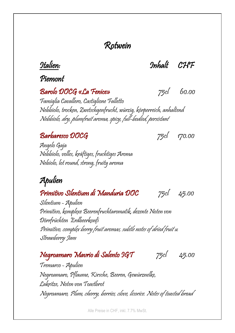Italien: Inhalt CHF

#### Piemont

#### Barolo DOCG «La Fenice» 75cl 60.00

Famiglia Cavallero, Castiglione Falletto Nebbiolo, trocken, Zwetschgenfrucht, würzig, körperreich, anhaltend Nebbiolo, dry, plumfruit aroma, spicy, full-bodied, persistant

#### $Barbaresco DOCG$  75cl  $170.00$

Angelo Gaja Nebbiolo, volles, kräftiges, fruchtiges Aroma Nebiolo, lot round, strong, fruity aroma

### Apulien

Primitivo Silentium di Manduria DOC 75cl 45.00

Silentium - Apulien Primitivo, komplexe Beerenfruchtaromatik, dezente Noten von Dörrfrüchten Erdbeerkonfi Primitivo, complex berry fruit aromas, subtle notes of dried fruit u. Strawberry Jam

Negroamaro Mavrio di Salento IGT 75cl 45.00

Tremarco - Apulien Negroamaro, Pflaume, Kirsche, Beeren, Gewürznelke, Lakritze, Noten von Toastbrot Negroamaro, Plum, cherry, berries, clove, licorice. Notes of toasted bread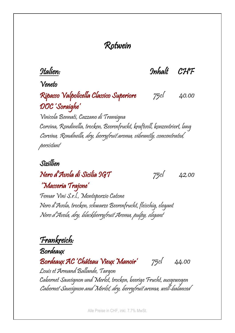Italien: Inhalt CHF

Veneto

#### Ripasso Valpolicella Classico Superiore 75cl 40.00 DOC 'Soraighe'

Vinicola Bennati, Cazzano di Tramigna Corvina, Rondinella, trocken, Beerenfrucht, kraftvoll, konzentriert, lang Corvina, Rondinella, dry, berryfruit aroma, vibrantly, concentrated, persistant

#### Sizillien

### Nero d'Avola di Sicilia IGT 75cl 42.00

#### 'Masseria Trajone' Femar Vini S.r.l., Monteporzio Catone

Nero d'Avola, trocken, schwarze Beerenfrucht, fleischig, elegant Nero d'Avola, dry, blackberryfruit Aroma, pulpy, elegant

Frankreich:

Bordeaux

Bordeaux AC 'Château Vieux Manoir' 75cl 44.00

Louis et Armand Ballande, Targon Cabernet Sauvignon und Merlot, trocken, beerige Frucht, ausgewogen Cabernet Sauvignon and Merlot, dry, berryfruit aroma, well-balanced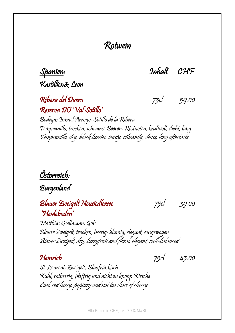Kastillien& Leon

Spanien: Inhalt CHF

Ribera del Duero 75cl 59.00 Reserva DO 'Val Sotillo'

Bodegas Ismael Arroyo, Sotillo de la Ribera Tempranillo, trocken, schwarze Beeren, Röstnoten, kraftvoll, dicht, lang Tempranillo, dry, black berries, toasty, vibrantly, dense, long aftertaste

Österreich:

Burgenland

Blauer Zweigelt Neusiedlersee 75cl 39.00 'Heideboden'

Matthias Gsellmann, Gols Blauer Zweigelt, trocken, beerig-blumig, elegant, ausgewogen Blauer Zweigelt, dry, berryfruit and floral, elegant, well-balanced

Heinrich 75cl 45.00

St. Laurent, Zweigelt, Blaufränkisch Kühl, rotbeerig, pfeffrig und nicht zu knopp Kirsche Cool, red berry, peppery and not too short of cherry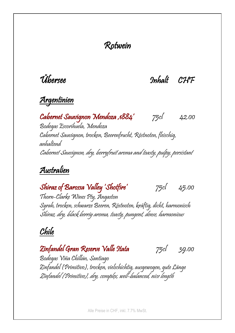Übersee Inhalt CHF

#### Argentinien

Cabernet Sauvignon Mendoza'1884' 75cl 42.00 Bodegas Escorihuela, Mendoza Cabernet Sauvignon, trocken, Beerenfrucht, Röstnoten, fleischig, anhaltend Cabernet Sauvignon, dry, berryfruit aroma and toasty, pulpy, persistant

#### Australien

Shiraz of Barossa Valley 'Shotfire' 75cl 45.00

Thorn-Clarke Wines Pty, Angaston Syrah, trocken, schwarze Beeren, Röstnoten, kräftig, dicht, harmonisch Shiraz, dry, black berriy aroma, toasty, pungent, dense, harmonious

#### Chile

Zinfandel Gran Reserve Valle Itata 75cl 39.00

Bodegas Viña Chillán, Santiago Zinfandel (Primitivo), trocken, vielschichtig, ausgewogen, gute Länge Zinfandel (Primitivo), dry, complex, well-balanced, nice length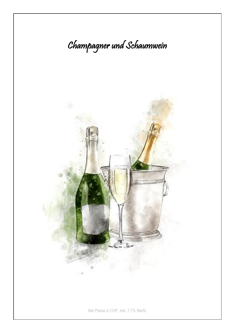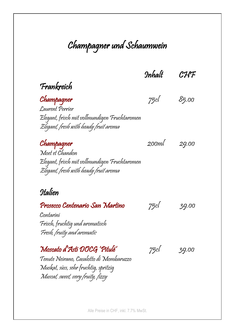## Champagner und Schaumwein

Inhalt CHF

Frankreich

Champagner 75cl 85.00 Laurent Perrier Elegant, frisch mit vollmundigen Fruchtaromen Elegant, fresh with heady fruit aroma

Champagner 200ml 29.00 Moet et Chandon Elegant, frisch mit vollmundigen Fruchtaromen Elegant, fresh with heady fruit aroma

#### Italien

Prosecco Centenario San Martino 75cl 39.00

Contarini Frisch, fruchtig und aromatisch Fresh, fruity and aromatic

Moscato d'Asti DOCG 'Pitulé' 75cl 39.00

Tenute Neirano, Casalotto di Mombaruzzo Muskat, süss, sehr fruchtig, spritzig Muscat, sweet, very fruity, fizzy